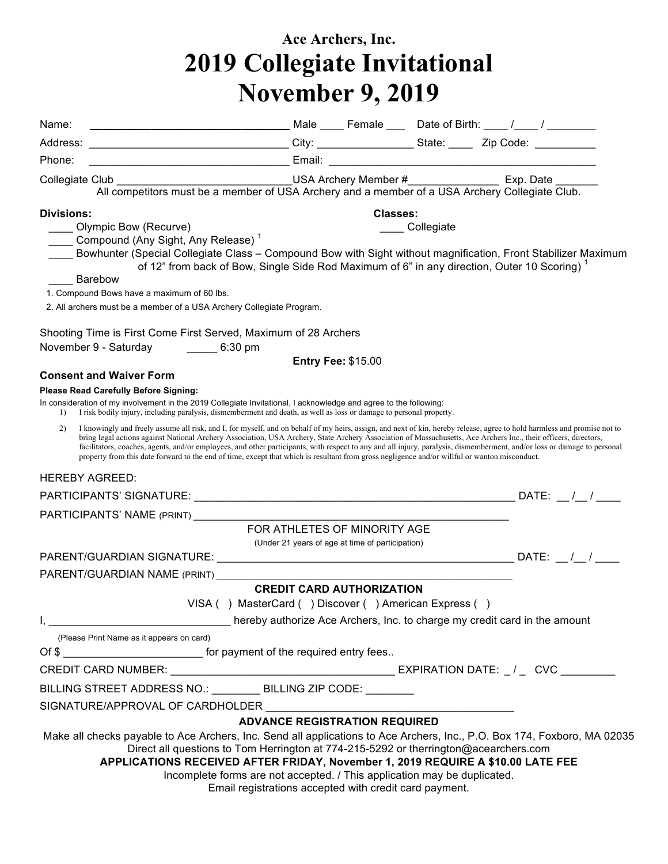## **Ace Archers, Inc. 2019 Collegiate Invitational November 9, 2019**

| Name:                                                                                                                                                                                                                                                                                                                                                                                                                                                                                                                                                                                                                                                                          |                                                                                                                                                                  |                  |  |
|--------------------------------------------------------------------------------------------------------------------------------------------------------------------------------------------------------------------------------------------------------------------------------------------------------------------------------------------------------------------------------------------------------------------------------------------------------------------------------------------------------------------------------------------------------------------------------------------------------------------------------------------------------------------------------|------------------------------------------------------------------------------------------------------------------------------------------------------------------|------------------|--|
|                                                                                                                                                                                                                                                                                                                                                                                                                                                                                                                                                                                                                                                                                |                                                                                                                                                                  |                  |  |
| Phone:                                                                                                                                                                                                                                                                                                                                                                                                                                                                                                                                                                                                                                                                         |                                                                                                                                                                  |                  |  |
| Collegiate Club __________________________________USA Archery Member #___________________Exp. Date _______<br>All competitors must be a member of USA Archery and a member of a USA Archery Collegiate Club.                                                                                                                                                                                                                                                                                                                                                                                                                                                                   |                                                                                                                                                                  |                  |  |
| Divisions:                                                                                                                                                                                                                                                                                                                                                                                                                                                                                                                                                                                                                                                                     |                                                                                                                                                                  | Classes:         |  |
| Olympic Bow (Recurve)<br>Compound (Any Sight, Any Release) <sup>1</sup>                                                                                                                                                                                                                                                                                                                                                                                                                                                                                                                                                                                                        |                                                                                                                                                                  | _____ Collegiate |  |
| Bowhunter (Special Collegiate Class – Compound Bow with Sight without magnification, Front Stabilizer Maximum                                                                                                                                                                                                                                                                                                                                                                                                                                                                                                                                                                  | of 12" from back of Bow, Single Side Rod Maximum of 6" in any direction, Outer 10 Scoring) <sup>1</sup>                                                          |                  |  |
| Barebow<br>1. Compound Bows have a maximum of 60 lbs.                                                                                                                                                                                                                                                                                                                                                                                                                                                                                                                                                                                                                          |                                                                                                                                                                  |                  |  |
| 2. All archers must be a member of a USA Archery Collegiate Program.                                                                                                                                                                                                                                                                                                                                                                                                                                                                                                                                                                                                           |                                                                                                                                                                  |                  |  |
|                                                                                                                                                                                                                                                                                                                                                                                                                                                                                                                                                                                                                                                                                |                                                                                                                                                                  |                  |  |
| Shooting Time is First Come First Served, Maximum of 28 Archers                                                                                                                                                                                                                                                                                                                                                                                                                                                                                                                                                                                                                |                                                                                                                                                                  |                  |  |
| November 9 - Saturday ________ 6:30 pm                                                                                                                                                                                                                                                                                                                                                                                                                                                                                                                                                                                                                                         | <b>Entry Fee: \$15.00</b>                                                                                                                                        |                  |  |
| <b>Consent and Waiver Form</b>                                                                                                                                                                                                                                                                                                                                                                                                                                                                                                                                                                                                                                                 |                                                                                                                                                                  |                  |  |
| <b>Please Read Carefully Before Signing:</b>                                                                                                                                                                                                                                                                                                                                                                                                                                                                                                                                                                                                                                   |                                                                                                                                                                  |                  |  |
| In consideration of my involvement in the 2019 Collegiate Invitational, I acknowledge and agree to the following:<br>I risk bodily injury, including paralysis, dismemberment and death, as well as loss or damage to personal property.<br>$\left  \right $                                                                                                                                                                                                                                                                                                                                                                                                                   |                                                                                                                                                                  |                  |  |
| I knowingly and freely assume all risk, and I, for myself, and on behalf of my heirs, assign, and next of kin, hereby release, agree to hold harmless and promise not to<br>2)<br>bring legal actions against National Archery Association, USA Archery, State Archery Association of Massachusetts, Ace Archers Inc., their officers, directors,<br>facilitators, coaches, agents, and/or employees, and other participants, with respect to any and all injury, paralysis, dismemberment, and/or loss or damage to personal<br>property from this date forward to the end of time, except that which is resultant from gross negligence and/or willful or wanton misconduct. |                                                                                                                                                                  |                  |  |
| <b>HEREBY AGREED:</b>                                                                                                                                                                                                                                                                                                                                                                                                                                                                                                                                                                                                                                                          |                                                                                                                                                                  |                  |  |
|                                                                                                                                                                                                                                                                                                                                                                                                                                                                                                                                                                                                                                                                                |                                                                                                                                                                  |                  |  |
|                                                                                                                                                                                                                                                                                                                                                                                                                                                                                                                                                                                                                                                                                |                                                                                                                                                                  |                  |  |
|                                                                                                                                                                                                                                                                                                                                                                                                                                                                                                                                                                                                                                                                                | FOR ATHLETES OF MINORITY AGE<br>(Under 21 years of age at time of participation)                                                                                 |                  |  |
|                                                                                                                                                                                                                                                                                                                                                                                                                                                                                                                                                                                                                                                                                |                                                                                                                                                                  |                  |  |
| PARENT/GUARDIAN NAME (PRINT)                                                                                                                                                                                                                                                                                                                                                                                                                                                                                                                                                                                                                                                   |                                                                                                                                                                  |                  |  |
|                                                                                                                                                                                                                                                                                                                                                                                                                                                                                                                                                                                                                                                                                | <b>CREDIT CARD AUTHORIZATION</b>                                                                                                                                 |                  |  |
|                                                                                                                                                                                                                                                                                                                                                                                                                                                                                                                                                                                                                                                                                | VISA () MasterCard () Discover () American Express ()                                                                                                            |                  |  |
| (Please Print Name as it appears on card)                                                                                                                                                                                                                                                                                                                                                                                                                                                                                                                                                                                                                                      |                                                                                                                                                                  |                  |  |
| Of \$                                                                                                                                                                                                                                                                                                                                                                                                                                                                                                                                                                                                                                                                          |                                                                                                                                                                  |                  |  |
|                                                                                                                                                                                                                                                                                                                                                                                                                                                                                                                                                                                                                                                                                |                                                                                                                                                                  |                  |  |
| BILLING STREET ADDRESS NO.: _________ BILLING ZIP CODE: ________                                                                                                                                                                                                                                                                                                                                                                                                                                                                                                                                                                                                               |                                                                                                                                                                  |                  |  |
| SIGNATURE/APPROVAL OF CARDHOLDER                                                                                                                                                                                                                                                                                                                                                                                                                                                                                                                                                                                                                                               |                                                                                                                                                                  |                  |  |
|                                                                                                                                                                                                                                                                                                                                                                                                                                                                                                                                                                                                                                                                                | <b>ADVANCE REGISTRATION REQUIRED</b>                                                                                                                             |                  |  |
| Make all checks payable to Ace Archers, Inc. Send all applications to Ace Archers, Inc., P.O. Box 174, Foxboro, MA 02035<br>APPLICATIONS RECEIVED AFTER FRIDAY, November 1, 2019 REQUIRE A \$10.00 LATE FEE                                                                                                                                                                                                                                                                                                                                                                                                                                                                    | Direct all questions to Tom Herrington at 774-215-5292 or therrington@acearchers.com<br>Incomplete forms are not accepted. / This application may be duplicated. |                  |  |
|                                                                                                                                                                                                                                                                                                                                                                                                                                                                                                                                                                                                                                                                                | Email registrations accepted with credit card payment.                                                                                                           |                  |  |